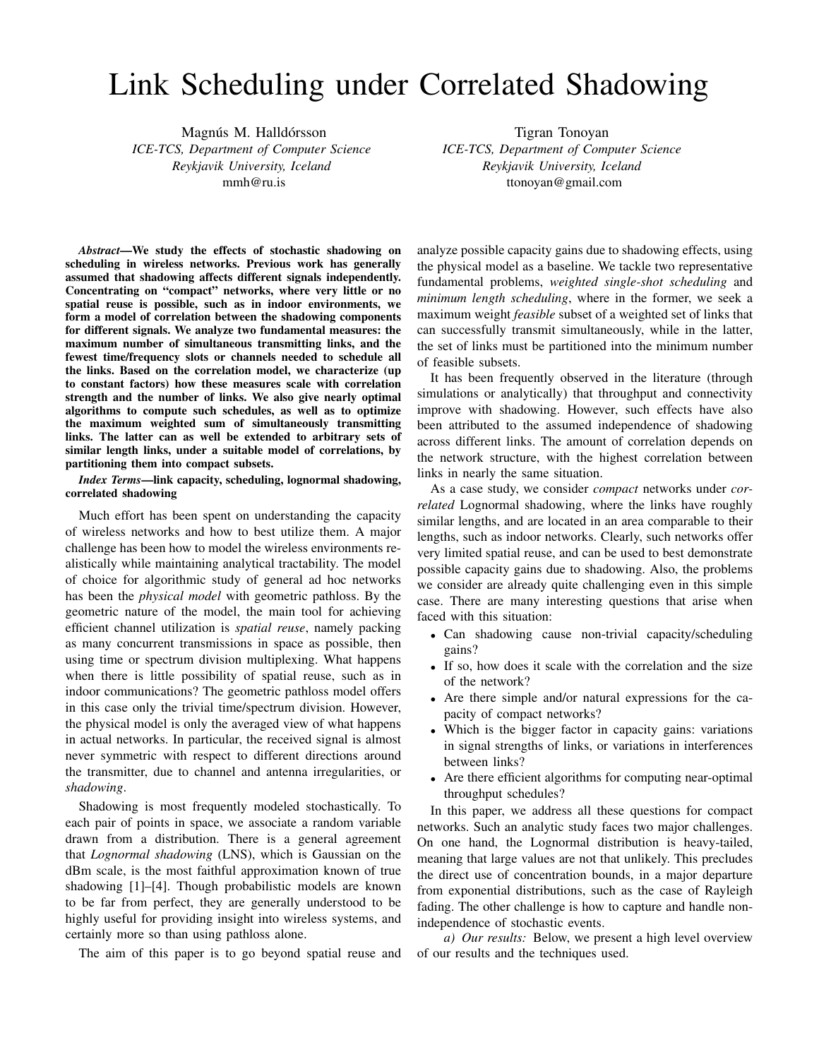# Link Scheduling under Correlated Shadowing

Magnús M. Halldórsson *ICE-TCS, Department of Computer Science Reykjavik University, Iceland* mmh@ru.is

Tigran Tonoyan *ICE-TCS, Department of Computer Science Reykjavik University, Iceland* ttonoyan@gmail.com

*Abstract*—We study the effects of stochastic shadowing on scheduling in wireless networks. Previous work has generally assumed that shadowing affects different signals independently. Concentrating on "compact" networks, where very little or no spatial reuse is possible, such as in indoor environments, we form a model of correlation between the shadowing components for different signals. We analyze two fundamental measures: the maximum number of simultaneous transmitting links, and the fewest time/frequency slots or channels needed to schedule all the links. Based on the correlation model, we characterize (up to constant factors) how these measures scale with correlation strength and the number of links. We also give nearly optimal algorithms to compute such schedules, as well as to optimize the maximum weighted sum of simultaneously transmitting links. The latter can as well be extended to arbitrary sets of similar length links, under a suitable model of correlations, by partitioning them into compact subsets.

*Index Terms*—link capacity, scheduling, lognormal shadowing, correlated shadowing

Much effort has been spent on understanding the capacity of wireless networks and how to best utilize them. A major challenge has been how to model the wireless environments realistically while maintaining analytical tractability. The model of choice for algorithmic study of general ad hoc networks has been the *physical model* with geometric pathloss. By the geometric nature of the model, the main tool for achieving efficient channel utilization is *spatial reuse*, namely packing as many concurrent transmissions in space as possible, then using time or spectrum division multiplexing. What happens when there is little possibility of spatial reuse, such as in indoor communications? The geometric pathloss model offers in this case only the trivial time/spectrum division. However, the physical model is only the averaged view of what happens in actual networks. In particular, the received signal is almost never symmetric with respect to different directions around the transmitter, due to channel and antenna irregularities, or *shadowing*.

Shadowing is most frequently modeled stochastically. To each pair of points in space, we associate a random variable drawn from a distribution. There is a general agreement that *Lognormal shadowing* (LNS), which is Gaussian on the dBm scale, is the most faithful approximation known of true shadowing [1]–[4]. Though probabilistic models are known to be far from perfect, they are generally understood to be highly useful for providing insight into wireless systems, and certainly more so than using pathloss alone.

The aim of this paper is to go beyond spatial reuse and

analyze possible capacity gains due to shadowing effects, using the physical model as a baseline. We tackle two representative fundamental problems, *weighted single-shot scheduling* and *minimum length scheduling*, where in the former, we seek a maximum weight *feasible* subset of a weighted set of links that can successfully transmit simultaneously, while in the latter, the set of links must be partitioned into the minimum number of feasible subsets.

It has been frequently observed in the literature (through simulations or analytically) that throughput and connectivity improve with shadowing. However, such effects have also been attributed to the assumed independence of shadowing across different links. The amount of correlation depends on the network structure, with the highest correlation between links in nearly the same situation.

As a case study, we consider *compact* networks under *correlated* Lognormal shadowing, where the links have roughly similar lengths, and are located in an area comparable to their lengths, such as indoor networks. Clearly, such networks offer very limited spatial reuse, and can be used to best demonstrate possible capacity gains due to shadowing. Also, the problems we consider are already quite challenging even in this simple case. There are many interesting questions that arise when faced with this situation:

- Can shadowing cause non-trivial capacity/scheduling gains?
- If so, how does it scale with the correlation and the size of the network?
- Are there simple and/or natural expressions for the capacity of compact networks?
- Which is the bigger factor in capacity gains: variations in signal strengths of links, or variations in interferences between links?
- Are there efficient algorithms for computing near-optimal throughput schedules?

In this paper, we address all these questions for compact networks. Such an analytic study faces two major challenges. On one hand, the Lognormal distribution is heavy-tailed, meaning that large values are not that unlikely. This precludes the direct use of concentration bounds, in a major departure from exponential distributions, such as the case of Rayleigh fading. The other challenge is how to capture and handle nonindependence of stochastic events.

*a) Our results:* Below, we present a high level overview of our results and the techniques used.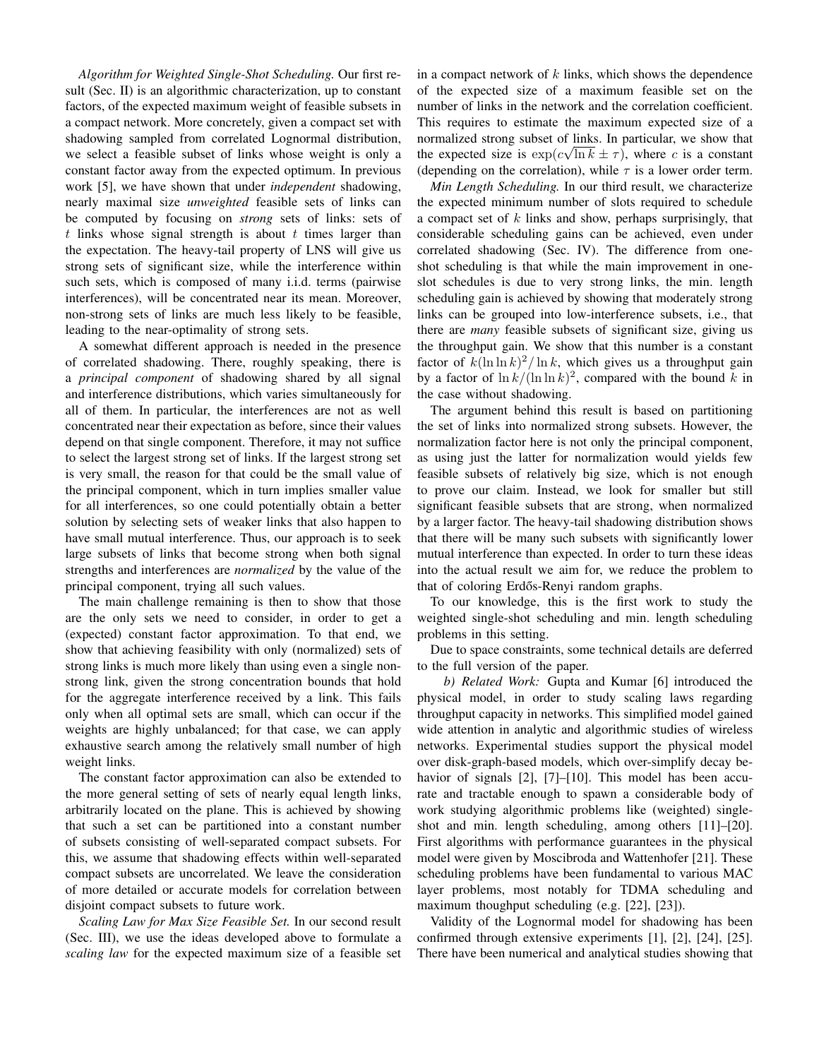*Algorithm for Weighted Single-Shot Scheduling.* Our first result (Sec. II) is an algorithmic characterization, up to constant factors, of the expected maximum weight of feasible subsets in a compact network. More concretely, given a compact set with shadowing sampled from correlated Lognormal distribution, we select a feasible subset of links whose weight is only a constant factor away from the expected optimum. In previous work [5], we have shown that under *independent* shadowing, nearly maximal size *unweighted* feasible sets of links can be computed by focusing on *strong* sets of links: sets of  $t$  links whose signal strength is about  $t$  times larger than the expectation. The heavy-tail property of LNS will give us strong sets of significant size, while the interference within such sets, which is composed of many i.i.d. terms (pairwise interferences), will be concentrated near its mean. Moreover, non-strong sets of links are much less likely to be feasible, leading to the near-optimality of strong sets.

A somewhat different approach is needed in the presence of correlated shadowing. There, roughly speaking, there is a *principal component* of shadowing shared by all signal and interference distributions, which varies simultaneously for all of them. In particular, the interferences are not as well concentrated near their expectation as before, since their values depend on that single component. Therefore, it may not suffice to select the largest strong set of links. If the largest strong set is very small, the reason for that could be the small value of the principal component, which in turn implies smaller value for all interferences, so one could potentially obtain a better solution by selecting sets of weaker links that also happen to have small mutual interference. Thus, our approach is to seek large subsets of links that become strong when both signal strengths and interferences are *normalized* by the value of the principal component, trying all such values.

The main challenge remaining is then to show that those are the only sets we need to consider, in order to get a (expected) constant factor approximation. To that end, we show that achieving feasibility with only (normalized) sets of strong links is much more likely than using even a single nonstrong link, given the strong concentration bounds that hold for the aggregate interference received by a link. This fails only when all optimal sets are small, which can occur if the weights are highly unbalanced; for that case, we can apply exhaustive search among the relatively small number of high weight links.

The constant factor approximation can also be extended to the more general setting of sets of nearly equal length links, arbitrarily located on the plane. This is achieved by showing that such a set can be partitioned into a constant number of subsets consisting of well-separated compact subsets. For this, we assume that shadowing effects within well-separated compact subsets are uncorrelated. We leave the consideration of more detailed or accurate models for correlation between disjoint compact subsets to future work.

*Scaling Law for Max Size Feasible Set.* In our second result (Sec. III), we use the ideas developed above to formulate a *scaling law* for the expected maximum size of a feasible set

in a compact network of  $k$  links, which shows the dependence of the expected size of a maximum feasible set on the number of links in the network and the correlation coefficient. This requires to estimate the maximum expected size of a normalized strong subset of links. In particular, we show that the expected size is  $\exp(c\sqrt{\ln k} \pm \tau)$ , where c is a constant (depending on the correlation), while  $\tau$  is a lower order term.

*Min Length Scheduling.* In our third result, we characterize the expected minimum number of slots required to schedule a compact set of  $k$  links and show, perhaps surprisingly, that considerable scheduling gains can be achieved, even under correlated shadowing (Sec. IV). The difference from oneshot scheduling is that while the main improvement in oneslot schedules is due to very strong links, the min. length scheduling gain is achieved by showing that moderately strong links can be grouped into low-interference subsets, i.e., that there are *many* feasible subsets of significant size, giving us the throughput gain. We show that this number is a constant factor of  $k(\ln \ln k)^2 / \ln k$ , which gives us a throughput gain by a factor of  $\ln k/(\ln \ln k)^2$ , compared with the bound k in the case without shadowing.

The argument behind this result is based on partitioning the set of links into normalized strong subsets. However, the normalization factor here is not only the principal component, as using just the latter for normalization would yields few feasible subsets of relatively big size, which is not enough to prove our claim. Instead, we look for smaller but still significant feasible subsets that are strong, when normalized by a larger factor. The heavy-tail shadowing distribution shows that there will be many such subsets with significantly lower mutual interference than expected. In order to turn these ideas into the actual result we aim for, we reduce the problem to that of coloring Erdős-Renyi random graphs.

To our knowledge, this is the first work to study the weighted single-shot scheduling and min. length scheduling problems in this setting.

Due to space constraints, some technical details are deferred to the full version of the paper.

*b) Related Work:* Gupta and Kumar [6] introduced the physical model, in order to study scaling laws regarding throughput capacity in networks. This simplified model gained wide attention in analytic and algorithmic studies of wireless networks. Experimental studies support the physical model over disk-graph-based models, which over-simplify decay behavior of signals [2], [7]–[10]. This model has been accurate and tractable enough to spawn a considerable body of work studying algorithmic problems like (weighted) singleshot and min. length scheduling, among others [11]–[20]. First algorithms with performance guarantees in the physical model were given by Moscibroda and Wattenhofer [21]. These scheduling problems have been fundamental to various MAC layer problems, most notably for TDMA scheduling and maximum thoughput scheduling (e.g. [22], [23]).

Validity of the Lognormal model for shadowing has been confirmed through extensive experiments [1], [2], [24], [25]. There have been numerical and analytical studies showing that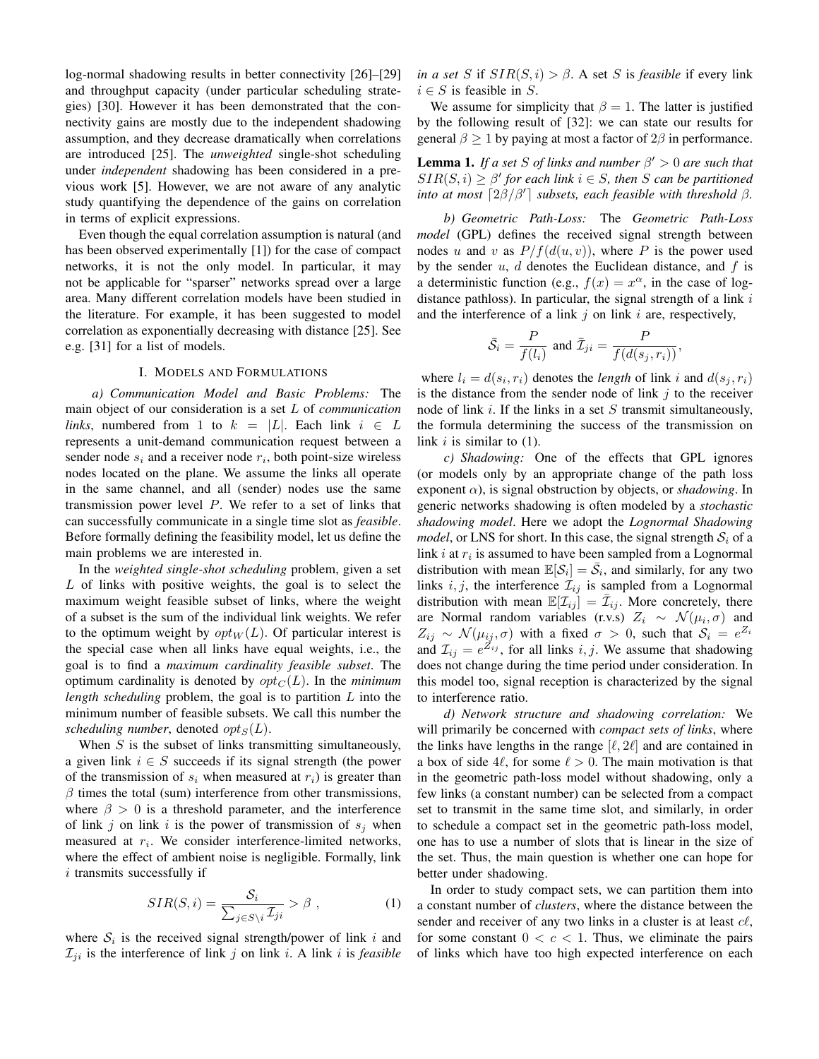log-normal shadowing results in better connectivity [26]–[29] and throughput capacity (under particular scheduling strategies) [30]. However it has been demonstrated that the connectivity gains are mostly due to the independent shadowing assumption, and they decrease dramatically when correlations are introduced [25]. The *unweighted* single-shot scheduling under *independent* shadowing has been considered in a previous work [5]. However, we are not aware of any analytic study quantifying the dependence of the gains on correlation in terms of explicit expressions.

Even though the equal correlation assumption is natural (and has been observed experimentally [1]) for the case of compact networks, it is not the only model. In particular, it may not be applicable for "sparser" networks spread over a large area. Many different correlation models have been studied in the literature. For example, it has been suggested to model correlation as exponentially decreasing with distance [25]. See e.g. [31] for a list of models.

## I. MODELS AND FORMULATIONS

*a) Communication Model and Basic Problems:* The main object of our consideration is a set L of *communication links*, numbered from 1 to  $k = |L|$ . Each link  $i \in L$ represents a unit-demand communication request between a sender node  $s_i$  and a receiver node  $r_i$ , both point-size wireless nodes located on the plane. We assume the links all operate in the same channel, and all (sender) nodes use the same transmission power level  $P$ . We refer to a set of links that can successfully communicate in a single time slot as *feasible*. Before formally defining the feasibility model, let us define the main problems we are interested in.

In the *weighted single-shot scheduling* problem, given a set L of links with positive weights, the goal is to select the maximum weight feasible subset of links, where the weight of a subset is the sum of the individual link weights. We refer to the optimum weight by  $opt_W(L)$ . Of particular interest is the special case when all links have equal weights, i.e., the goal is to find a *maximum cardinality feasible subset*. The optimum cardinality is denoted by  $opt_C(L)$ . In the *minimum length scheduling* problem, the goal is to partition L into the minimum number of feasible subsets. We call this number the *scheduling number*, denoted  $opt_S(L)$ .

When  $S$  is the subset of links transmitting simultaneously, a given link  $i \in S$  succeeds if its signal strength (the power of the transmission of  $s_i$  when measured at  $r_i$ ) is greater than  $\beta$  times the total (sum) interference from other transmissions, where  $\beta > 0$  is a threshold parameter, and the interference of link j on link i is the power of transmission of  $s_j$  when measured at  $r_i$ . We consider interference-limited networks, where the effect of ambient noise is negligible. Formally, link  $i$  transmits successfully if

$$
SIR(S,i) = \frac{S_i}{\sum_{j \in S \setminus i} \mathcal{I}_{ji}} > \beta , \qquad (1)
$$

where  $S_i$  is the received signal strength/power of link i and  $\mathcal{I}_{ji}$  is the interference of link j on link i. A link i is *feasible*  *in a set* S if  $SIR(S, i) > \beta$ . A set S is *feasible* if every link  $i \in S$  is feasible in S.

We assume for simplicity that  $\beta = 1$ . The latter is justified by the following result of [32]: we can state our results for general  $\beta \geq 1$  by paying at most a factor of  $2\beta$  in performance.

**Lemma 1.** If a set S of links and number  $\beta' > 0$  are such that  $SIR(S, i) \geq \beta'$  for each link  $i \in S$ , then S can be partitioned *into at most*  $\lceil 2\beta/\beta' \rceil$  *subsets, each feasible with threshold*  $\beta$ *.* 

*b) Geometric Path-Loss:* The *Geometric Path-Loss model* (GPL) defines the received signal strength between nodes u and v as  $P/f(d(u, v))$ , where P is the power used by the sender  $u$ ,  $d$  denotes the Euclidean distance, and  $f$  is a deterministic function (e.g.,  $f(x) = x^{\alpha}$ , in the case of logdistance pathloss). In particular, the signal strength of a link  $i$ and the interference of a link  $j$  on link  $i$  are, respectively,

$$
\bar{S}_i = \frac{P}{f(l_i)} \text{ and } \bar{Z}_{ji} = \frac{P}{f(d(s_j, r_i))},
$$

where  $l_i = d(s_i, r_i)$  denotes the *length* of link i and  $d(s_j, r_i)$ is the distance from the sender node of link  $j$  to the receiver node of link  $i$ . If the links in a set  $S$  transmit simultaneously, the formula determining the success of the transmission on link  $i$  is similar to  $(1)$ .

*c) Shadowing:* One of the effects that GPL ignores (or models only by an appropriate change of the path loss exponent  $\alpha$ ), is signal obstruction by objects, or *shadowing*. In generic networks shadowing is often modeled by a *stochastic shadowing model*. Here we adopt the *Lognormal Shadowing model*, or LNS for short. In this case, the signal strength  $S_i$  of a link  $i$  at  $r_i$  is assumed to have been sampled from a Lognormal distribution with mean  $\mathbb{E}[\mathcal{S}_i] = \overline{\mathcal{S}}_i$ , and similarly, for any two links i, j, the interference  $\mathcal{I}_{ij}$  is sampled from a Lognormal distribution with mean  $\mathbb{E}[\mathcal{I}_{ij}] = \bar{\mathcal{I}}_{ij}$ . More concretely, there are Normal random variables (r.v.s)  $Z_i \sim \mathcal{N}(\mu_i, \sigma)$  and  $Z_{ij} \sim \mathcal{N}(\mu_{ij}, \sigma)$  with a fixed  $\sigma > 0$ , such that  $\mathcal{S}_i = e^{Z_i}$ and  $\mathcal{I}_{ij} = e^{\mathcal{I}_{ij}}$ , for all links  $i, j$ . We assume that shadowing does not change during the time period under consideration. In this model too, signal reception is characterized by the signal to interference ratio.

*d) Network structure and shadowing correlation:* We will primarily be concerned with *compact sets of links*, where the links have lengths in the range  $[\ell, 2\ell]$  and are contained in a box of side 4 $\ell$ , for some  $\ell > 0$ . The main motivation is that in the geometric path-loss model without shadowing, only a few links (a constant number) can be selected from a compact set to transmit in the same time slot, and similarly, in order to schedule a compact set in the geometric path-loss model, one has to use a number of slots that is linear in the size of the set. Thus, the main question is whether one can hope for better under shadowing.

In order to study compact sets, we can partition them into a constant number of *clusters*, where the distance between the sender and receiver of any two links in a cluster is at least  $c\ell$ , for some constant  $0 < c < 1$ . Thus, we eliminate the pairs of links which have too high expected interference on each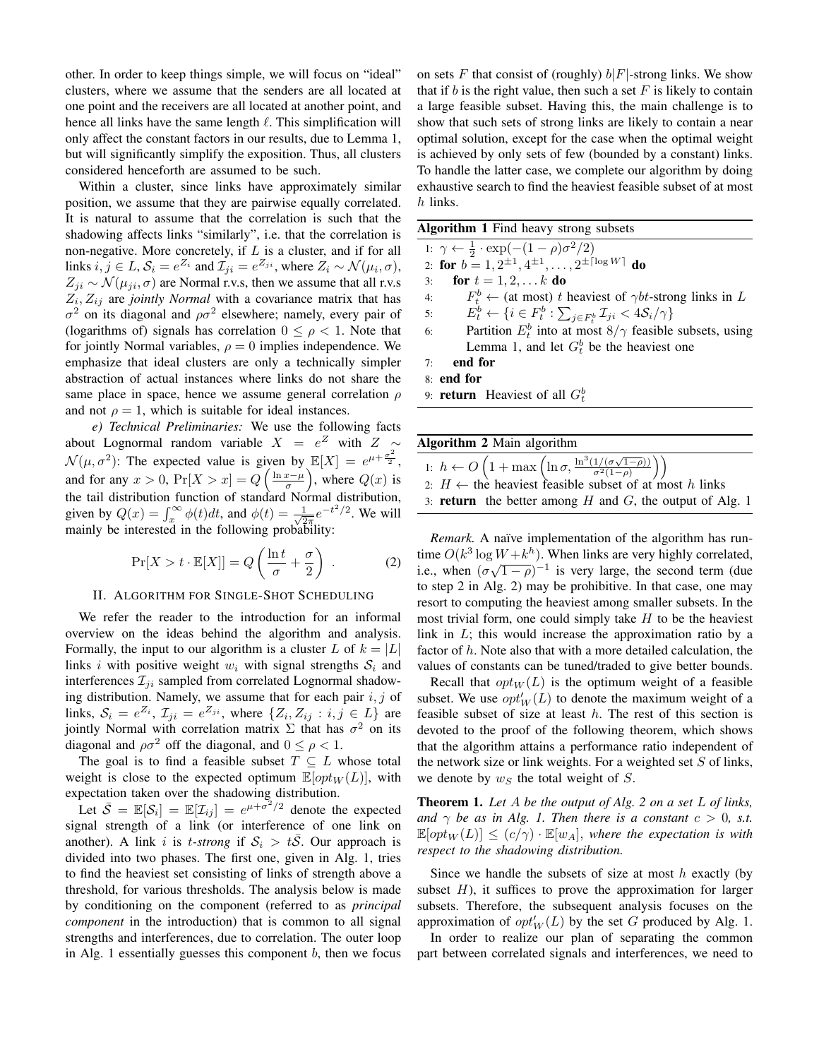other. In order to keep things simple, we will focus on "ideal" clusters, where we assume that the senders are all located at one point and the receivers are all located at another point, and hence all links have the same length  $\ell$ . This simplification will only affect the constant factors in our results, due to Lemma 1, but will significantly simplify the exposition. Thus, all clusters considered henceforth are assumed to be such.

Within a cluster, since links have approximately similar position, we assume that they are pairwise equally correlated. It is natural to assume that the correlation is such that the shadowing affects links "similarly", i.e. that the correlation is non-negative. More concretely, if  $L$  is a cluster, and if for all links  $i, j \in L$ ,  $S_i = e^{Z_i}$  and  $\mathcal{I}_{ji} = e^{Z_{ji}}$ , where  $Z_i \sim \mathcal{N}(\mu_i, \sigma)$ ,  $Z_{ji} \sim \mathcal{N}(\mu_{ji}, \sigma)$  are Normal r.v.s, then we assume that all r.v.s  $Z_i, Z_{ij}$  are *jointly Normal* with a covariance matrix that has  $\sigma^2$  on its diagonal and  $\rho \sigma^2$  elsewhere; namely, every pair of (logarithms of) signals has correlation  $0 \leq \rho < 1$ . Note that for jointly Normal variables,  $\rho = 0$  implies independence. We emphasize that ideal clusters are only a technically simpler abstraction of actual instances where links do not share the same place in space, hence we assume general correlation  $\rho$ and not  $\rho = 1$ , which is suitable for ideal instances.

*e) Technical Preliminaries:* We use the following facts about Lognormal random variable  $X = e^Z$  with  $Z \sim$  $\mathcal{N}(\mu, \sigma^2)$ : The expected value is given by  $\mathbb{E}[X] = e^{\mu + \frac{\sigma^2}{2}}$ , and for any  $x > 0$ ,  $Pr[X > x] = Q\left(\frac{\ln x - \mu}{\sigma}\right)$ , where  $Q(x)$  is the tail distribution function of standard Normal distribution, given by  $Q(x) = \int_x^{\infty} \phi(t) dt$ , and  $\phi(t) = \frac{1}{\sqrt{2}}$  $\frac{1}{2\pi}e^{-t^2/2}$ . We will mainly be interested in the following probability:

$$
\Pr[X > t \cdot \mathbb{E}[X]] = Q\left(\frac{\ln t}{\sigma} + \frac{\sigma}{2}\right) . \tag{2}
$$

#### II. ALGORITHM FOR SINGLE-SHOT SCHEDULING

We refer the reader to the introduction for an informal overview on the ideas behind the algorithm and analysis. Formally, the input to our algorithm is a cluster L of  $k = |L|$ links i with positive weight  $w_i$  with signal strengths  $S_i$  and interferences  $\mathcal{I}_{ji}$  sampled from correlated Lognormal shadowing distribution. Namely, we assume that for each pair  $i, j$  of links,  $S_i = e^{Z_i}$ ,  $\mathcal{I}_{ji} = e^{Z_{ji}}$ , where  $\{Z_i, Z_{ij} : i, j \in L\}$  are jointly Normal with correlation matrix  $\Sigma$  that has  $\sigma^2$  on its diagonal and  $\rho \sigma^2$  off the diagonal, and  $0 \leq \rho < 1$ .

The goal is to find a feasible subset  $T \subseteq L$  whose total weight is close to the expected optimum  $\mathbb{E}[opt_W(L)]$ , with expectation taken over the shadowing distribution.

Let  $\bar{S} = \mathbb{E}[\mathcal{S}_i] = \mathbb{E}[\mathcal{I}_{ij}] = e^{\mu + \sigma^2/2}$  denote the expected signal strength of a link (or interference of one link on another). A link i is t-strong if  $S_i > tS$ . Our approach is divided into two phases. The first one, given in Alg. 1, tries to find the heaviest set consisting of links of strength above a threshold, for various thresholds. The analysis below is made by conditioning on the component (referred to as *principal component* in the introduction) that is common to all signal strengths and interferences, due to correlation. The outer loop in Alg. 1 essentially guesses this component  $b$ , then we focus on sets F that consist of (roughly)  $b|F|$ -strong links. We show that if b is the right value, then such a set  $F$  is likely to contain a large feasible subset. Having this, the main challenge is to show that such sets of strong links are likely to contain a near optimal solution, except for the case when the optimal weight is achieved by only sets of few (bounded by a constant) links. To handle the latter case, we complete our algorithm by doing exhaustive search to find the heaviest feasible subset of at most h links.

| <b>Algorithm 1</b> Find heavy strong subsets                                                           |
|--------------------------------------------------------------------------------------------------------|
| 1: $\gamma \leftarrow \frac{1}{2} \cdot \exp(-(1-\rho)\sigma^2/2)$                                     |
| 2: for $b = 1, 2^{\pm 1}, 4^{\pm 1}, \ldots, 2^{\pm \lceil \log W \rceil}$ do                          |
| for $t = 1, 2,  k$ do<br>3:                                                                            |
| $F_t^b \leftarrow$ (at most) t heaviest of $\gamma bt$ -strong links in L<br>4:                        |
| 5:<br>$E_t^b \leftarrow \{i \in F_t^b : \sum_{j \in F_t^b} \mathcal{I}_{ji} < 4\mathcal{S}_i/\gamma\}$ |
| Partition $E_t^b$ into at most $8/\gamma$ feasible subsets, using<br>6:                                |
| Lemma 1, and let $G_t^b$ be the heaviest one                                                           |
| end for<br>7:                                                                                          |
| 8: end for                                                                                             |
| 9: <b>return</b> Heaviest of all $G_t^b$                                                               |
|                                                                                                        |

| Algorithm 2 Main algorithm                                                                                                                                                                    |
|-----------------------------------------------------------------------------------------------------------------------------------------------------------------------------------------------|
| 1: $h \leftarrow O\left(1 + \max\left(\ln \sigma, \frac{\ln^3(1/(\sigma\sqrt{1-\rho}))}{\sigma^2(1-\rho)}\right)\right)$<br>2: $H \leftarrow$ the heaviest feasible subset of at most h links |
|                                                                                                                                                                                               |
| 3: <b>return</b> the better among $H$ and $G$ , the output of Alg. 1                                                                                                                          |

*Remark.* A naïve implementation of the algorithm has runtime  $O(k^3 \log W + k^h)$ . When links are very highly correlated, the  $O(k \log w + k^{\gamma})$ . When this are very highly correlated,<br>i.e., when  $(\sigma \sqrt{1-\rho})^{-1}$  is very large, the second term (due to step 2 in Alg. 2) may be prohibitive. In that case, one may resort to computing the heaviest among smaller subsets. In the most trivial form, one could simply take  $H$  to be the heaviest link in L; this would increase the approximation ratio by a factor of h. Note also that with a more detailed calculation, the values of constants can be tuned/traded to give better bounds.

Recall that  $opt_W(L)$  is the optimum weight of a feasible subset. We use  $opt_W'(L)$  to denote the maximum weight of a feasible subset of size at least  $h$ . The rest of this section is devoted to the proof of the following theorem, which shows that the algorithm attains a performance ratio independent of the network size or link weights. For a weighted set  $S$  of links, we denote by  $w<sub>S</sub>$  the total weight of S.

Theorem 1. *Let* A *be the output of Alg. 2 on a set* L *of links, and*  $\gamma$  *be as in Alg. 1. Then there is a constant*  $c > 0$ , *s.t.*  $\mathbb{E}[opt_W(L)] \le (c/\gamma) \cdot \mathbb{E}[w_A]$ , where the expectation is with *respect to the shadowing distribution.*

Since we handle the subsets of size at most  $h$  exactly (by subset  $H$ ), it suffices to prove the approximation for larger subsets. Therefore, the subsequent analysis focuses on the approximation of  $opt_W'(L)$  by the set G produced by Alg. 1.

In order to realize our plan of separating the common part between correlated signals and interferences, we need to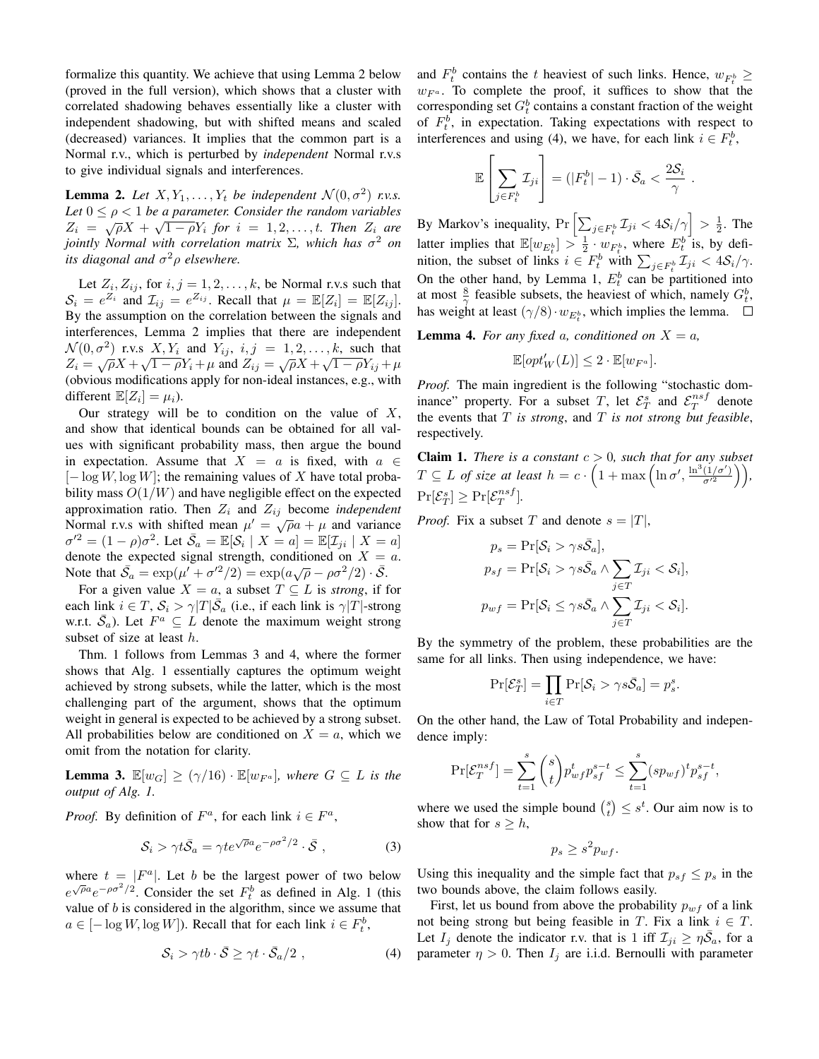formalize this quantity. We achieve that using Lemma 2 below (proved in the full version), which shows that a cluster with correlated shadowing behaves essentially like a cluster with independent shadowing, but with shifted means and scaled (decreased) variances. It implies that the common part is a Normal r.v., which is perturbed by *independent* Normal r.v.s to give individual signals and interferences.

**Lemma 2.** Let  $X, Y_1, \ldots, Y_t$  be independent  $\mathcal{N}(0, \sigma^2)$  r.v.s. Let  $0 \leq \rho < 1$  *be a parameter. Consider the random variables*  $Z_i = \sqrt{\rho}X + \sqrt{1-\rho}Y_i$  for  $i = 1, 2, \ldots, t$ . Then  $Z_i$  are *jointly Normal with correlation matrix* Σ*, which has* σ <sup>2</sup> *on its diagonal and*  $\sigma^2 \rho$  elsewhere.

Let  $Z_i, Z_{ij}$ , for  $i, j = 1, 2, \dots, k$ , be Normal r.v.s such that  $S_i = e^{Z_i}$  and  $\mathcal{I}_{ij} = e^{Z_{ij}}$ . Recall that  $\mu = \mathbb{E}[Z_i] = \mathbb{E}[Z_{ij}]$ . By the assumption on the correlation between the signals and interferences, Lemma 2 implies that there are independent  $\mathcal{N}(0, \sigma^2)$  r.v.s  $X, Y_i$  and  $Y_{ij}$ ,  $i, j = 1, 2, \ldots, k$ , such that  $Z_i = \sqrt{\rho}X + \sqrt{1 - \rho}Y_i + \mu$  and  $Z_{ij} = \sqrt{\rho}X + \sqrt{1 - \rho}Y_{ij} + \mu$ (obvious modifications apply for non-ideal instances, e.g., with different  $\mathbb{E}[Z_i] = \mu_i$ ).

Our strategy will be to condition on the value of  $X$ , and show that identical bounds can be obtained for all values with significant probability mass, then argue the bound in expectation. Assume that  $X = a$  is fixed, with  $a \in$  $[-\log W, \log W]$ ; the remaining values of X have total probability mass  $O(1/W)$  and have negligible effect on the expected approximation ratio. Then  $Z_i$  and  $Z_{ij}$  become *independent* Approximation ratio. Their  $Z_i$  and  $Z_{ij}$  occurre *independent*<br>Normal r.v.s with shifted mean  $\mu' = \sqrt{\rho}a + \mu$  and variance  $\sigma'^2 = (1 - \rho)\sigma^2$ . Let  $\bar{\mathcal{S}}_a = \mathbb{E}[\mathcal{S}_i \mid X = a] = \mathbb{E}[\mathcal{I}_{ji} \mid X = a]$ denote the expected signal strength, conditioned on  $X = a$ . Note that  $\bar{S}_a = \exp(\mu' + \sigma'^2/2) = \exp(a\sqrt{\rho} - \rho \sigma^2/2) \cdot \bar{S}$ .

For a given value  $X = a$ , a subset  $T \subseteq L$  is *strong*, if for each link  $i \in T$ ,  $S_i > \gamma |T| \overline{S}_a$  (i.e., if each link is  $\gamma |T|$ -strong w.r.t.  $\bar{S}_a$ ). Let  $F^a \subseteq L$  denote the maximum weight strong subset of size at least h.

Thm. 1 follows from Lemmas 3 and 4, where the former shows that Alg. 1 essentially captures the optimum weight achieved by strong subsets, while the latter, which is the most challenging part of the argument, shows that the optimum weight in general is expected to be achieved by a strong subset. All probabilities below are conditioned on  $X = a$ , which we omit from the notation for clarity.

**Lemma 3.**  $\mathbb{E}[w_G] \ge (\gamma/16) \cdot \mathbb{E}[w_{F^a}]$ , where  $G \subseteq L$  is the *output of Alg. 1.*

*Proof.* By definition of  $F^a$ , for each link  $i \in F^a$ ,

$$
S_i > \gamma t \bar{S}_a = \gamma t e^{\sqrt{\rho} a} e^{-\rho \sigma^2/2} \cdot \bar{S} , \qquad (3)
$$

where  $t = |F^a|$ . Let b be the largest power of two below where  $e^{\sqrt{\rho}a}e^{-\rho\sigma^2/2}$ . Consider the set  $F_t^b$  as defined in Alg. 1 (this value of  $b$  is considered in the algorithm, since we assume that  $a \in [-\log W, \log W]$ ). Recall that for each link  $i \in F_t^b$ ,

$$
S_i > \gamma tb \cdot \bar{S} \ge \gamma t \cdot \bar{S}_a/2 , \qquad (4)
$$

and  $F_t^b$  contains the t heaviest of such links. Hence,  $w_{F_t^b} \geq$  $w_{F_a}$ . To complete the proof, it suffices to show that the corresponding set  $G_t^b$  contains a constant fraction of the weight of  $F_t^b$ , in expectation. Taking expectations with respect to interferences and using (4), we have, for each link  $i \in F_t^b$ ,

$$
\mathbb{E}\left[\sum_{j\in F_t^b} \mathcal{I}_{ji}\right] = (|F_t^b| - 1) \cdot \bar{S}_a < \frac{2\mathcal{S}_i}{\gamma}.
$$

By Markov's inequality,  $Pr\left[\sum_{j \in F_t^b} \mathcal{I}_{ji} < 4S_i/\gamma\right] > \frac{1}{2}$ . The latter implies that  $\mathbb{E}[w_{E_t^b}] > \frac{1}{2} \cdot w_{F_t^b}$ , where  $E_t^b$  is, by definition, the subset of links  $i \in F_t^b$  with  $\sum_{j \in F_t^b} \mathcal{I}_{ji} < 4\mathcal{S}_i/\gamma$ . On the other hand, by Lemma 1,  $E_t^b$  can be partitioned into at most  $\frac{8}{\gamma}$  feasible subsets, the heaviest of which, namely  $G_t^b$ , has weight at least  $(\gamma/8) \cdot w_{E_t^b}$ , which implies the lemma.

**Lemma 4.** For any fixed a, conditioned on  $X = a$ ,

$$
\mathbb{E}[opt'_{W}(L)] \leq 2 \cdot \mathbb{E}[w_{F^a}].
$$

*Proof.* The main ingredient is the following "stochastic dominance" property. For a subset T, let  $\mathcal{E}_T^s$  and  $\mathcal{E}_T^{nsf}$  denote the events that T *is strong*, and T *is not strong but feasible*, respectively.

**Claim 1.** *There is a constant*  $c > 0$ *, such that for any subset*  $T \subseteq L$  of size at least  $h = c \cdot \left(1 + \max\left(\ln \sigma', \frac{\ln^3(1/\sigma')}{\sigma'^2}\right)\right),$  $\Pr[\mathcal{E}_T^s] \geq \Pr[\mathcal{E}_T^{nsf}].$ 

*Proof.* Fix a subset T and denote  $s = |T|$ ,

$$
p_s = \Pr[\mathcal{S}_i > \gamma s \bar{\mathcal{S}}_a],
$$
  
\n
$$
p_{sf} = \Pr[\mathcal{S}_i > \gamma s \bar{\mathcal{S}}_a \land \sum_{j \in T} \mathcal{I}_{ji} < \mathcal{S}_i],
$$
  
\n
$$
p_{wf} = \Pr[\mathcal{S}_i \le \gamma s \bar{\mathcal{S}}_a \land \sum_{j \in T} \mathcal{I}_{ji} < \mathcal{S}_i].
$$

By the symmetry of the problem, these probabilities are the same for all links. Then using independence, we have:

$$
\Pr[\mathcal{E}_T^s] = \prod_{i \in T} \Pr[\mathcal{S}_i > \gamma s \bar{\mathcal{S}}_a] = p_s^s.
$$

On the other hand, the Law of Total Probability and independence imply:

$$
\Pr[\mathcal{E}_T^{nsf}]=\sum_{t=1}^s \binom{s}{t} p_{wf}^t p_{sf}^{s-t}\leq \sum_{t=1}^s (sp_{wf})^t p_{sf}^{s-t},
$$

where we used the simple bound  $\binom{s}{t} \leq s^t$ . Our aim now is to show that for  $s \geq h$ ,

$$
p_s \ge s^2 p_{wf}.
$$

Using this inequality and the simple fact that  $p_{sf} \leq p_s$  in the two bounds above, the claim follows easily.

First, let us bound from above the probability  $p_{wf}$  of a link not being strong but being feasible in T. Fix a link  $i \in T$ . Let  $I_j$  denote the indicator r.v. that is 1 iff  $\mathcal{I}_{ji} \geq \eta \bar{S}_a$ , for a parameter  $\eta > 0$ . Then  $I_j$  are i.i.d. Bernoulli with parameter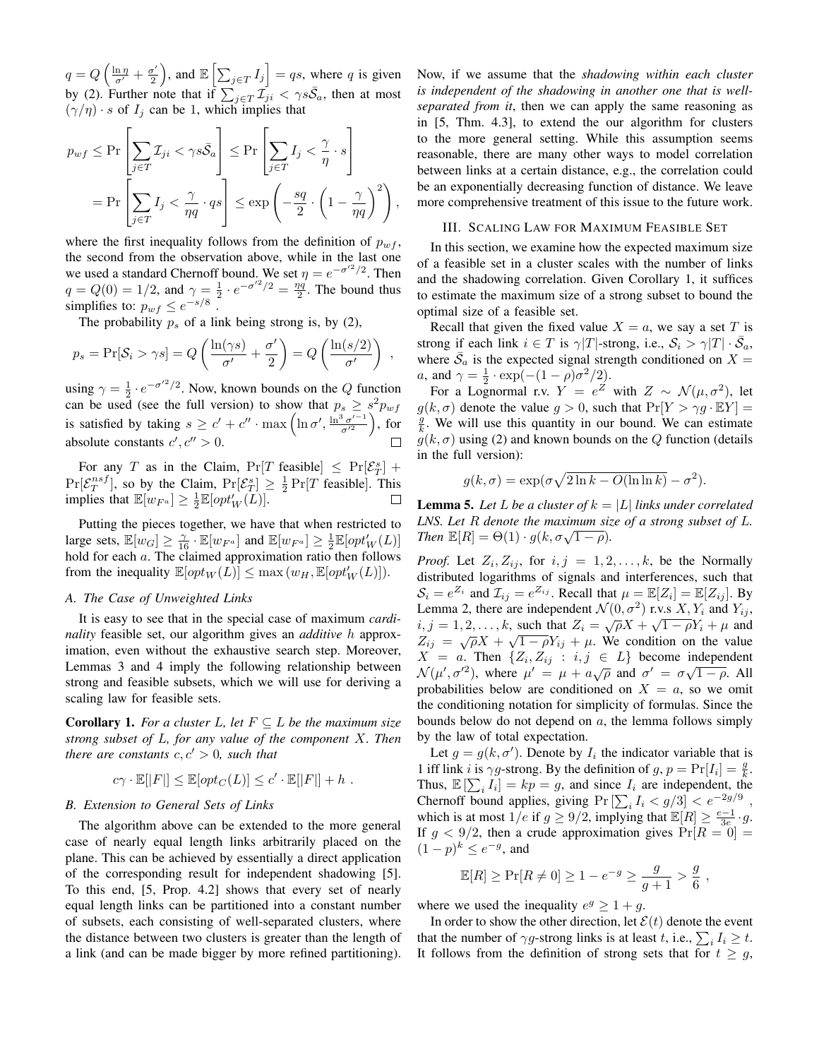$q = Q\left(\frac{\ln \eta}{\sigma'} + \frac{\sigma'}{2}\right)$  $\left[\sum_{j \in T} I_j\right] = qs$ , where q is given by (2). Further note that if  $\sum_{j \in T} \mathcal{I}_{ji}^j < \gamma s \bar{S}_a$ , then at most  $(\gamma/\eta) \cdot s$  of  $I_j$  can be 1, which implies that

$$
p_{wf} \le \Pr\left[\sum_{j\in T} \mathcal{I}_{ji} < \gamma s\bar{\mathcal{S}}_a\right] \le \Pr\left[\sum_{j\in T} I_j < \frac{\gamma}{\eta} \cdot s\right]
$$
\n
$$
= \Pr\left[\sum_{j\in T} I_j < \frac{\gamma}{\eta q} \cdot qs\right] \le \exp\left(-\frac{sq}{2} \cdot \left(1 - \frac{\gamma}{\eta q}\right)^2\right),
$$

where the first inequality follows from the definition of  $p_{wf}$ , the second from the observation above, while in the last one we used a standard Chernoff bound. We set  $\eta = e^{-\sigma'^2/2}$ . Then  $q = Q(0) = 1/2$ , and  $\gamma = \frac{1}{2} \cdot e^{-\sigma'^2/2} = \frac{\eta q'}{2}$ . The bound thus simplifies to:  $p_{wf} \leq e^{-s/8}$ .

The probability  $p_s$  of a link being strong is, by (2),

$$
p_s = \Pr[S_i > \gamma s] = Q\left(\frac{\ln(\gamma s)}{\sigma'} + \frac{\sigma'}{2}\right) = Q\left(\frac{\ln(s/2)}{\sigma'}\right) ,
$$

using  $\gamma = \frac{1}{2} \cdot e^{-\sigma'^2/2}$ . Now, known bounds on the Q function can be used (see the full version) to show that  $p_s \geq s^2 p_{wf}$ is satisfied by taking  $s \geq c' + c'' \cdot \max\left(\ln \sigma', \frac{\ln^3 \sigma'^{-1}}{\sigma'^2}\right)$  $\frac{\partial \sigma'^{-1}}{\sigma'^2}$ , for absolute constants  $c', c'' > 0$ .  $\Box$ 

For any T as in the Claim,  $Pr[T \text{ feasible}] \leq Pr[\mathcal{E}_T^s] +$  $Pr[\mathcal{E}_T^{nsf}]$ , so by the Claim,  $Pr[\mathcal{E}_T^{s}] \geq \frac{1}{2} Pr[T$  feasible]. This implies that  $\mathbb{E}[w_{F^a}] \geq \frac{1}{2} \mathbb{E}[opt'_W(L)].$  $\Box$ 

Putting the pieces together, we have that when restricted to large sets,  $\mathbb{E}[w_G] \ge \frac{\gamma}{16} \cdot \mathbb{E}[w_{F^a}]$  and  $\mathbb{E}[w_{F^a}] \ge \frac{1}{2} \mathbb{E}[opt'_W(L)]$ hold for each a. The claimed approximation ratio then follows from the inequality  $\mathbb{E}[opt_W(L)] \leq \max(w_H, \mathbb{E}[opt_W'(L)]).$ 

#### *A. The Case of Unweighted Links*

It is easy to see that in the special case of maximum *cardinality* feasible set, our algorithm gives an *additive* h approximation, even without the exhaustive search step. Moreover, Lemmas 3 and 4 imply the following relationship between strong and feasible subsets, which we will use for deriving a scaling law for feasible sets.

**Corollary 1.** For a cluster L, let  $F \subseteq L$  be the maximum size *strong subset of* L*, for any value of the component* X*. Then there are constants*  $c, c' > 0$ *, such that* 

$$
c\gamma \cdot \mathbb{E}[|F|] \leq \mathbb{E}[opt_C(L)] \leq c' \cdot \mathbb{E}[|F|] + h.
$$

### *B. Extension to General Sets of Links*

The algorithm above can be extended to the more general case of nearly equal length links arbitrarily placed on the plane. This can be achieved by essentially a direct application of the corresponding result for independent shadowing [5]. To this end, [5, Prop. 4.2] shows that every set of nearly equal length links can be partitioned into a constant number of subsets, each consisting of well-separated clusters, where the distance between two clusters is greater than the length of a link (and can be made bigger by more refined partitioning).

Now, if we assume that the *shadowing within each cluster is independent of the shadowing in another one that is wellseparated from it*, then we can apply the same reasoning as in [5, Thm. 4.3], to extend the our algorithm for clusters to the more general setting. While this assumption seems reasonable, there are many other ways to model correlation between links at a certain distance, e.g., the correlation could be an exponentially decreasing function of distance. We leave more comprehensive treatment of this issue to the future work.

#### III. SCALING LAW FOR MAXIMUM FEASIBLE SET

In this section, we examine how the expected maximum size of a feasible set in a cluster scales with the number of links and the shadowing correlation. Given Corollary 1, it suffices to estimate the maximum size of a strong subset to bound the optimal size of a feasible set.

Recall that given the fixed value  $X = a$ , we say a set T is strong if each link  $i \in T$  is  $\gamma |T|$ -strong, i.e.,  $\mathcal{S}_i > \gamma |T| \cdot \bar{\mathcal{S}}_a$ , where  $\bar{S}_a$  is the expected signal strength conditioned on  $X =$ *a*, and  $\gamma = \frac{1}{2} \cdot \exp(-(1 - \rho)\sigma^2/2)$ .

For a Lognormal r.v.  $Y = e^Z$  with  $Z \sim \mathcal{N}(\mu, \sigma^2)$ , let  $g(k, \sigma)$  denote the value  $g > 0$ , such that  $Pr[Y > \gamma g \cdot \mathbb{E}Y] =$  $\frac{g}{k}$ . We will use this quantity in our bound. We can estimate  $g(k, \sigma)$  using (2) and known bounds on the Q function (details in the full version):

$$
g(k, \sigma) = \exp(\sigma \sqrt{2 \ln k - O(\ln \ln k)} - \sigma^2).
$$

**Lemma 5.** Let L be a cluster of  $k = |L|$  links under correlated *LNS. Let* R *denote the maximum size of a strong subset of* L*. Then*  $\mathbb{E}[R] = \Theta(1) \cdot g(k, \sigma \sqrt{1 - \rho})$ *.* 

*Proof.* Let  $Z_i, Z_{ij}$ , for  $i, j = 1, 2, \ldots, k$ , be the Normally distributed logarithms of signals and interferences, such that  $S_i = e^{Z_i}$  and  $\mathcal{I}_{ij} = e^{Z_{ij}}$ . Recall that  $\mu = \mathbb{E}[Z_i] = \mathbb{E}[Z_{ij}]$ . By Lemma 2, there are independent  $\mathcal{N}(0, \sigma^2)$  r.v.s  $X, Y_i$  and  $Y_{ij}$ ,  $i, j = 1, 2, \ldots, k$ , such that  $Z_i = \sqrt{\rho}X + \sqrt{1 - \rho}Y_i + \mu$  and  $Z_{ij} = \sqrt{\rho}X + \sqrt{1 - \rho}Y_{ij} + \mu$ . We condition on the value  $X = a$ . Then  $\{Z_i, Z_{ij} : i, j \in L\}$  become independent  $\mathcal{N}(\mu', \sigma'^2)$ , where  $\mu' = \mu + a\sqrt{\rho}$  and  $\sigma' = \sigma\sqrt{1-\rho}$ . All probabilities below are conditioned on  $X = a$ , so we omit the conditioning notation for simplicity of formulas. Since the bounds below do not depend on  $a$ , the lemma follows simply by the law of total expectation.

Let  $g = g(k, \sigma')$ . Denote by  $I_i$  the indicator variable that is 1 iff link *i* is  $\gamma g$ -strong. By the definition of  $g, p = \Pr[I_i] = \frac{g}{k}$ . Thus,  $\mathbb{E}[\sum_i I_i] = kp = g$ , and since  $I_i$  are independent, the Chernoff bound applies, giving  $Pr\left[\sum_i I_i < g/3\right] < e^{-2g/9}$ , which is at most  $1/e$  if  $g \ge 9/2$ , implying that  $\mathbb{E}[R] \ge \frac{e-1}{3e} \cdot g$ . If  $g < 9/2$ , then a crude approximation gives  $Pr[R = 0] =$  $(1-p)^k \le e^{-g}$ , and

$$
\mathbb{E}[R] \ge \Pr[R \ne 0] \ge 1 - e^{-g} \ge \frac{g}{g+1} > \frac{g}{6},
$$

where we used the inequality  $e^g \geq 1 + g$ .

In order to show the other direction, let  $\mathcal{E}(t)$  denote the event that the number of  $\gamma g$ -strong links is at least t, i.e.,  $\sum_i I_i \geq t$ . It follows from the definition of strong sets that for  $t \geq g$ ,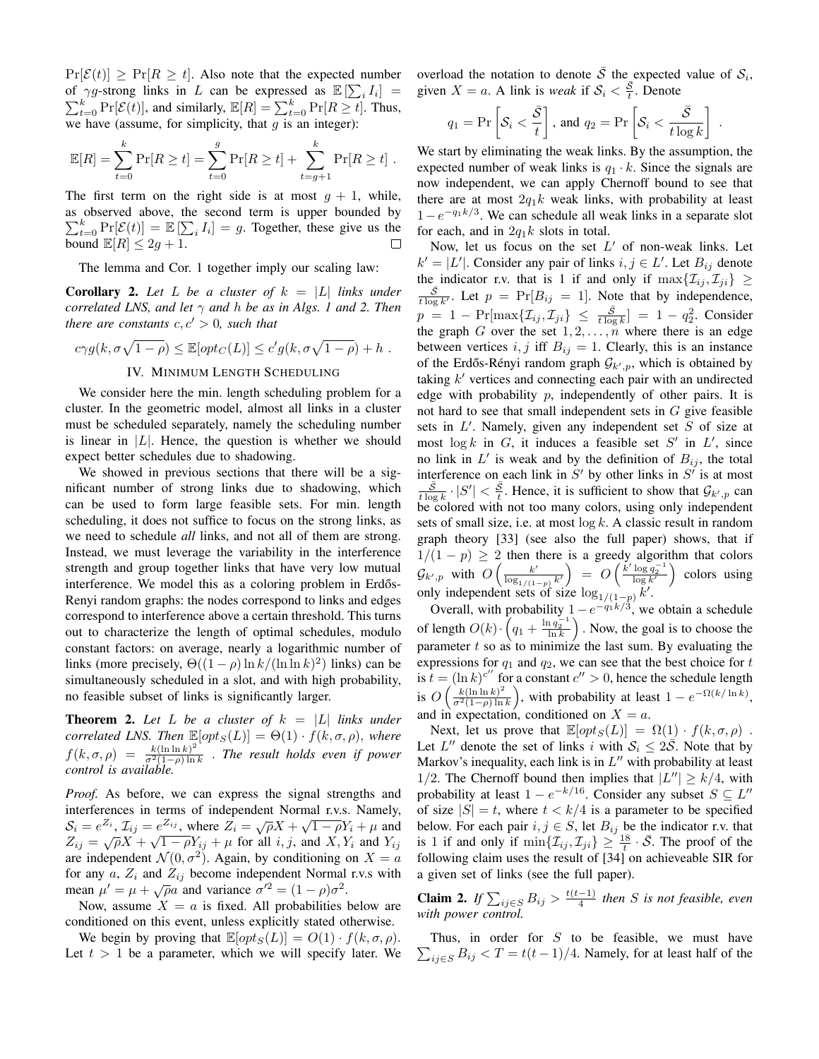$Pr[\mathcal{E}(t)] \geq Pr[R \geq t]$ . Also note that the expected number of  $\gamma g$ -strong links in L can be expressed as  $\mathbb{E}[\sum_i I_i] =$  $\sum_{t=0}^{k} \Pr[\mathcal{E}(t)]$ , and similarly,  $\mathbb{E}[R] = \sum_{t=0}^{k} \Pr[R \ge t]$ . Thus, we have (assume, for simplicity, that  $g$  is an integer):

$$
\mathbb{E}[R] = \sum_{t=0}^{k} \Pr[R \ge t] = \sum_{t=0}^{g} \Pr[R \ge t] + \sum_{t=g+1}^{k} \Pr[R \ge t] .
$$

The first term on the right side is at most  $g + 1$ , while, as observed above, the second term is upper bounded by  $\sum_{t=0}^{k} \Pr[\mathcal{E}(t)] = \mathbb{E}[\sum_{i} I_{i}] = g$ . Together, these give us the bound  $\mathbb{E}[R] \leq 2g + 1$ .

The lemma and Cor. 1 together imply our scaling law:

**Corollary 2.** Let L be a cluster of  $k = |L|$  links under *correlated LNS, and let* γ *and* h *be as in Algs. 1 and 2. Then there are constants*  $c, c' > 0$ *, such that* 

$$
c\gamma g(k, \sigma\sqrt{1-\rho}) \leq \mathbb{E}[\varphi t_C(L)] \leq c' g(k, \sigma\sqrt{1-\rho}) + h.
$$

# IV. MINIMUM LENGTH SCHEDULING

We consider here the min. length scheduling problem for a cluster. In the geometric model, almost all links in a cluster must be scheduled separately, namely the scheduling number is linear in  $|L|$ . Hence, the question is whether we should expect better schedules due to shadowing.

We showed in previous sections that there will be a significant number of strong links due to shadowing, which can be used to form large feasible sets. For min. length scheduling, it does not suffice to focus on the strong links, as we need to schedule *all* links, and not all of them are strong. Instead, we must leverage the variability in the interference strength and group together links that have very low mutual interference. We model this as a coloring problem in Erdős-Renyi random graphs: the nodes correspond to links and edges correspond to interference above a certain threshold. This turns out to characterize the length of optimal schedules, modulo constant factors: on average, nearly a logarithmic number of links (more precisely,  $\Theta((1 - \rho) \ln k / (\ln \ln k)^2)$  links) can be simultaneously scheduled in a slot, and with high probability, no feasible subset of links is significantly larger.

**Theorem 2.** Let L be a cluster of  $k = |L|$  links under *correlated LNS. Then*  $\mathbb{E}[opt_S(L)] = \Theta(1) \cdot f(k, \sigma, \rho)$ , where  $f(k,\sigma,\rho) = \frac{k(\ln \ln k)^2}{\sigma^2(1-\rho)\ln k}$  $\frac{k(\ln \ln k)^2}{\sigma^2(1-\rho)\ln k}$  *The result holds even if power control is available.*

*Proof.* As before, we can express the signal strengths and interferences in terms of independent Normal r.v.s. Namely, meriences in terms of independent Normal LV.S. Namely,<br>  $S_i = e^{Z_i}$ ,  $\mathcal{I}_{ij} = e^{Z_{ij}}$ , where  $Z_i = \sqrt{\rho}X + \sqrt{1 - \rho}Y_i + \mu$  and  $Z_{ij} = \sqrt{\rho}X + \sqrt{1 - \rho}Y_{ij} + \mu$  for all *i*, *j*, and *X*,  $Y_i$  and  $Y_{ij}$ are independent  $\mathcal{N}(0, \sigma^2)$ . Again, by conditioning on  $X = a$ for any  $a$ ,  $Z_i$  and  $Z_{ij}$  become independent Normal r.v.s with mean  $\mu' = \mu + \sqrt{\rho}a$  and variance  $\sigma'^2 = (1 - \rho)\sigma^2$ .

Now, assume  $X = a$  is fixed. All probabilities below are conditioned on this event, unless explicitly stated otherwise.

We begin by proving that  $\mathbb{E}[opt_S(L)] = O(1) \cdot f(k, \sigma, \rho)$ . Let  $t > 1$  be a parameter, which we will specify later. We overload the notation to denote  $\overline{S}$  the expected value of  $S_i$ , given  $X = a$ . A link is *weak* if  $S_i < \frac{\overline{S}}{t}$ . Denote

$$
q_1 = \Pr\left[\mathcal{S}_i < \frac{\bar{\mathcal{S}}}{t}\right], \text{ and } q_2 = \Pr\left[\mathcal{S}_i < \frac{\bar{\mathcal{S}}}{t\log k}\right] \; .
$$

We start by eliminating the weak links. By the assumption, the expected number of weak links is  $q_1 \cdot k$ . Since the signals are now independent, we can apply Chernoff bound to see that there are at most  $2q_1k$  weak links, with probability at least  $1-e^{-q_1k/3}$ . We can schedule all weak links in a separate slot for each, and in  $2q_1k$  slots in total.

Now, let us focus on the set  $L'$  of non-weak links. Let  $k' = |L'|$ . Consider any pair of links  $i, j \in L'$ . Let  $B_{ij}$  denote the indicator r.v. that is 1 if and only if  $\max\{\mathcal{I}_{ij}, \mathcal{I}_{ji}\}\geq$  $\frac{\bar{S}}{t \log k'}$ . Let  $p = \Pr[B_{ij} = 1]$ . Note that by independence,  $p = 1 - \Pr[\max\{\mathcal{I}_{ij}, \mathcal{I}_{ji}\} \leq \frac{\bar{S}}{t \log k}] = 1 - q_2^2$ . Consider the graph G over the set  $1, 2, \ldots, n$  where there is an edge between vertices  $i, j$  iff  $B_{ij} = 1$ . Clearly, this is an instance of the Erdős-Rényi random graph  $\mathcal{G}_{k',p}$ , which is obtained by taking  $k'$  vertices and connecting each pair with an undirected edge with probability  $p$ , independently of other pairs. It is not hard to see that small independent sets in  $G$  give feasible sets in  $L'$ . Namely, given any independent set  $S$  of size at most  $\log k$  in G, it induces a feasible set S' in L', since no link in  $L'$  is weak and by the definition of  $B_{ij}$ , the total interference on each link in  $S'$  by other links in  $S'$  is at most  $\frac{\bar{S}}{t \log k} \cdot |S'| < \frac{\bar{S}}{t}$ . Hence, it is sufficient to show that  $\mathcal{G}_{k',p}$  can be colored with not too many colors, using only independent sets of small size, i.e. at most  $\log k$ . A classic result in random graph theory [33] (see also the full paper) shows, that if  $1/(1-p) \geq 2$  then there is a greedy algorithm that colors  $\mathcal{G}_{k',p}$  with  $O\left(\frac{k'}{\log(1/\epsilon)}\right)$  $\frac{\log_{1/(1-p)} k'}{k}$  $\Big) = O\Big(\frac{k' \log q_2^{-1}}{\log k'}\Big)$  colors using only independent sets of size  $\log_{1/(1-p)} k'$ .

Overall, with probability  $1 - e^{-q_1 k/3}$ , we obtain a schedule of length  $O(k) \cdot \left(q_1 + \frac{\ln q_2^{-1}}{\ln k}\right)$ . Now, the goal is to choose the parameter  $t$  so as to minimize the last sum. By evaluating the expressions for  $q_1$  and  $q_2$ , we can see that the best choice for t is  $t = (\ln k)^{c''}$  for a constant  $c'' > 0$ , hence the schedule length is  $O\left(\frac{k(\ln \ln k)^2}{\sigma^2(1-\alpha)\ln k}\right)$  $\frac{k(\ln \ln k)^2}{\sigma^2(1-\rho)\ln k}$ , with probability at least  $1 - e^{-\Omega(k/\ln k)}$ , and in expectation, conditioned on  $X = a$ .

Next, let us prove that  $\mathbb{E}[opt_S(L)] = \Omega(1) \cdot f(k, \sigma, \rho)$ . Let L'' denote the set of links i with  $S_i \leq 2\overline{S}$ . Note that by Markov's inequality, each link is in  $L''$  with probability at least 1/2. The Chernoff bound then implies that  $|L''| \ge k/4$ , with probability at least  $1 - e^{-k/16}$ . Consider any subset  $S \subseteq L''$ of size  $|S| = t$ , where  $t < k/4$  is a parameter to be specified below. For each pair  $i, j \in S$ , let  $B_{ij}$  be the indicator r.v. that is 1 if and only if  $\min\{\mathcal{I}_{ij}, \mathcal{I}_{ji}\} \geq \frac{18}{t} \cdot \overline{\mathcal{S}}$ . The proof of the following claim uses the result of [34] on achieveable SIR for a given set of links (see the full paper).

**Claim 2.** *If*  $\sum_{ij \in S} B_{ij} > \frac{t(t-1)}{4}$  $\frac{1}{4}$  then *S* is not feasible, even *with power control.*

 $\sum_{ij \in S} B_{ij} < T = t(t-1)/4$ . Namely, for at least half of the Thus, in order for  $S$  to be feasible, we must have